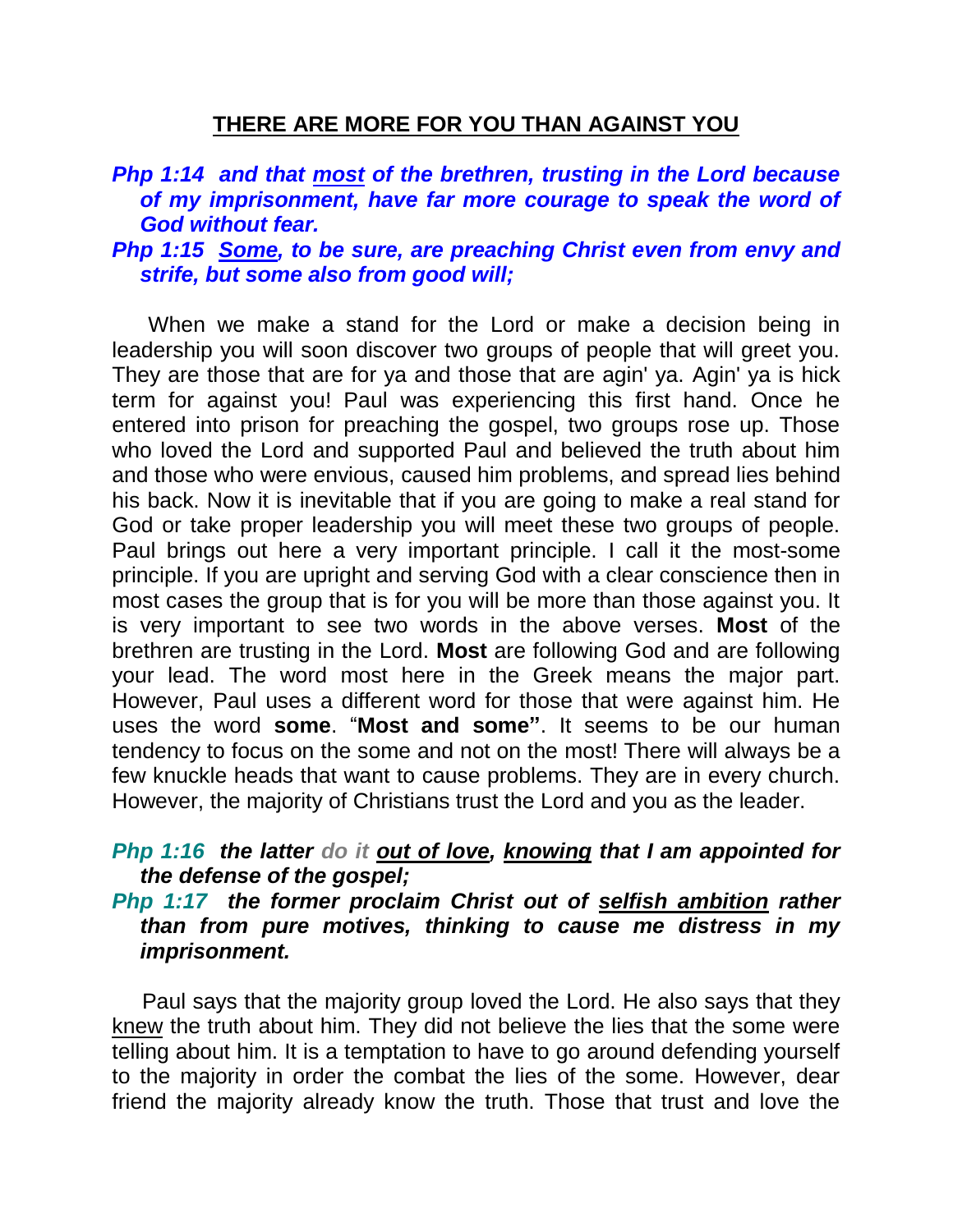# **THERE ARE MORE FOR YOU THAN AGAINST YOU**

# *Php 1:14 and that most of the brethren, trusting in the Lord because of my imprisonment, have far more courage to speak the word of God without fear.*

### *Php 1:15 Some, to be sure, are preaching Christ even from envy and strife, but some also from good will;*

 When we make a stand for the Lord or make a decision being in leadership you will soon discover two groups of people that will greet you. They are those that are for ya and those that are agin' ya. Agin' ya is hick term for against you! Paul was experiencing this first hand. Once he entered into prison for preaching the gospel, two groups rose up. Those who loved the Lord and supported Paul and believed the truth about him and those who were envious, caused him problems, and spread lies behind his back. Now it is inevitable that if you are going to make a real stand for God or take proper leadership you will meet these two groups of people. Paul brings out here a very important principle. I call it the most-some principle. If you are upright and serving God with a clear conscience then in most cases the group that is for you will be more than those against you. It is very important to see two words in the above verses. **Most** of the brethren are trusting in the Lord. **Most** are following God and are following your lead. The word most here in the Greek means the major part. However, Paul uses a different word for those that were against him. He uses the word **some**. "**Most and some"**. It seems to be our human tendency to focus on the some and not on the most! There will always be a few knuckle heads that want to cause problems. They are in every church. However, the majority of Christians trust the Lord and you as the leader.

# *Php 1:16 the latter do it out of love, knowing that I am appointed for the defense of the gospel;*

### *Php 1:17 the former proclaim Christ out of selfish ambition rather than from pure motives, thinking to cause me distress in my imprisonment.*

 Paul says that the majority group loved the Lord. He also says that they knew the truth about him. They did not believe the lies that the some were telling about him. It is a temptation to have to go around defending yourself to the majority in order the combat the lies of the some. However, dear friend the majority already know the truth. Those that trust and love the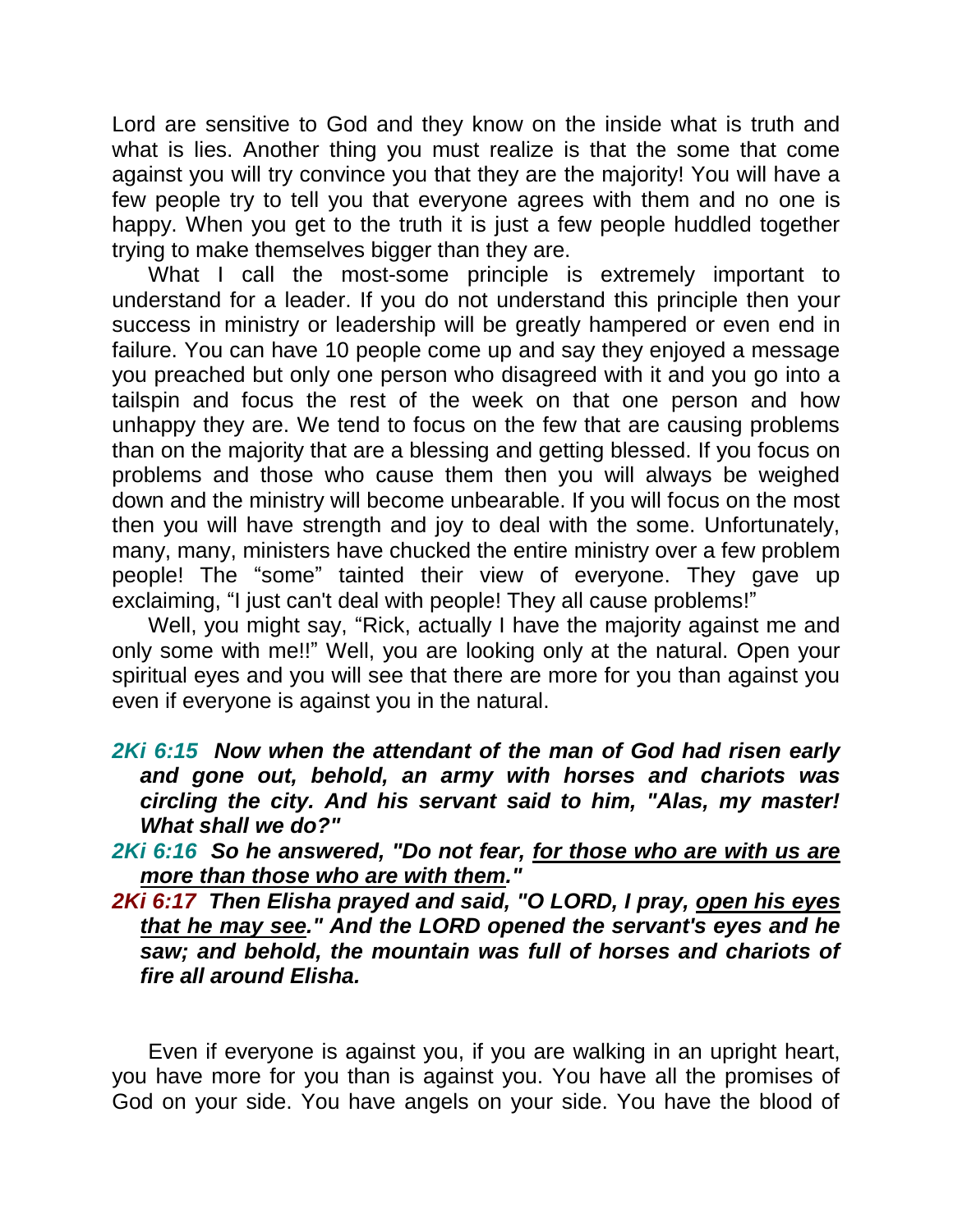Lord are sensitive to God and they know on the inside what is truth and what is lies. Another thing you must realize is that the some that come against you will try convince you that they are the majority! You will have a few people try to tell you that everyone agrees with them and no one is happy. When you get to the truth it is just a few people huddled together trying to make themselves bigger than they are.

What I call the most-some principle is extremely important to understand for a leader. If you do not understand this principle then your success in ministry or leadership will be greatly hampered or even end in failure. You can have 10 people come up and say they enjoyed a message you preached but only one person who disagreed with it and you go into a tailspin and focus the rest of the week on that one person and how unhappy they are. We tend to focus on the few that are causing problems than on the majority that are a blessing and getting blessed. If you focus on problems and those who cause them then you will always be weighed down and the ministry will become unbearable. If you will focus on the most then you will have strength and joy to deal with the some. Unfortunately, many, many, ministers have chucked the entire ministry over a few problem people! The "some" tainted their view of everyone. They gave up exclaiming, "I just can't deal with people! They all cause problems!"

 Well, you might say, "Rick, actually I have the majority against me and only some with me!!" Well, you are looking only at the natural. Open your spiritual eyes and you will see that there are more for you than against you even if everyone is against you in the natural.

*2Ki 6:15 Now when the attendant of the man of God had risen early and gone out, behold, an army with horses and chariots was circling the city. And his servant said to him, "Alas, my master! What shall we do?"* 

*2Ki 6:16 So he answered, "Do not fear, for those who are with us are more than those who are with them."* 

*2Ki 6:17 Then Elisha prayed and said, "O LORD, I pray, open his eyes that he may see." And the LORD opened the servant's eyes and he saw; and behold, the mountain was full of horses and chariots of fire all around Elisha.* 

 Even if everyone is against you, if you are walking in an upright heart, you have more for you than is against you. You have all the promises of God on your side. You have angels on your side. You have the blood of